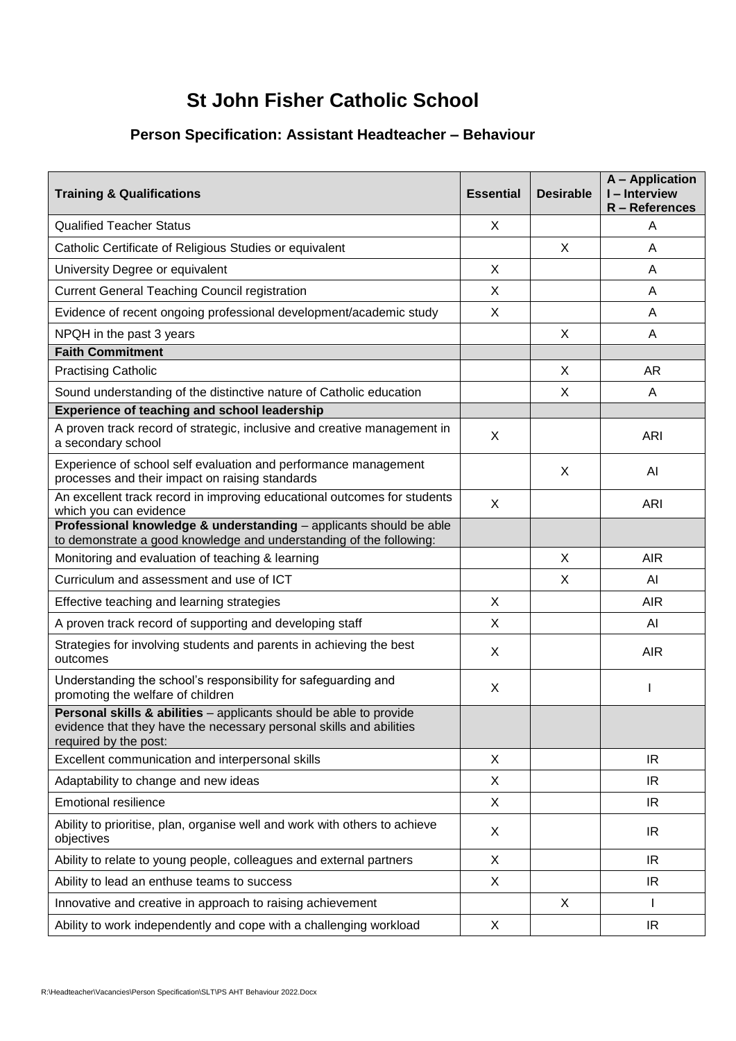## **St John Fisher Catholic School**

## **Person Specification: Assistant Headteacher – Behaviour**

| <b>Training &amp; Qualifications</b>                                                                                                                               | <b>Essential</b> | <b>Desirable</b> | <b>A</b> - Application<br>I-Interview<br>R - References |
|--------------------------------------------------------------------------------------------------------------------------------------------------------------------|------------------|------------------|---------------------------------------------------------|
| <b>Qualified Teacher Status</b>                                                                                                                                    | X                |                  | A                                                       |
| Catholic Certificate of Religious Studies or equivalent                                                                                                            |                  | X                | A                                                       |
| University Degree or equivalent                                                                                                                                    | X                |                  | A                                                       |
| <b>Current General Teaching Council registration</b>                                                                                                               | X                |                  | A                                                       |
| Evidence of recent ongoing professional development/academic study                                                                                                 | X                |                  | A                                                       |
| NPQH in the past 3 years                                                                                                                                           |                  | X                | A                                                       |
| <b>Faith Commitment</b>                                                                                                                                            |                  |                  |                                                         |
| <b>Practising Catholic</b>                                                                                                                                         |                  | X                | AR                                                      |
| Sound understanding of the distinctive nature of Catholic education                                                                                                |                  | X                | A                                                       |
| <b>Experience of teaching and school leadership</b>                                                                                                                |                  |                  |                                                         |
| A proven track record of strategic, inclusive and creative management in<br>a secondary school                                                                     | X                |                  | <b>ARI</b>                                              |
| Experience of school self evaluation and performance management<br>processes and their impact on raising standards                                                 |                  | X                | AI                                                      |
| An excellent track record in improving educational outcomes for students<br>which you can evidence                                                                 | X                |                  | <b>ARI</b>                                              |
| Professional knowledge & understanding - applicants should be able<br>to demonstrate a good knowledge and understanding of the following:                          |                  |                  |                                                         |
| Monitoring and evaluation of teaching & learning                                                                                                                   |                  | X                | <b>AIR</b>                                              |
| Curriculum and assessment and use of ICT                                                                                                                           |                  | X                | AI                                                      |
| Effective teaching and learning strategies                                                                                                                         | X                |                  | <b>AIR</b>                                              |
| A proven track record of supporting and developing staff                                                                                                           | X                |                  | AI                                                      |
| Strategies for involving students and parents in achieving the best<br>outcomes                                                                                    | X                |                  | <b>AIR</b>                                              |
| Understanding the school's responsibility for safeguarding and<br>promoting the welfare of children                                                                | X                |                  |                                                         |
| Personal skills & abilities - applicants should be able to provide<br>evidence that they have the necessary personal skills and abilities<br>required by the post: |                  |                  |                                                         |
| Excellent communication and interpersonal skills                                                                                                                   | X                |                  | IR.                                                     |
| Adaptability to change and new ideas                                                                                                                               | X                |                  | IR                                                      |
| <b>Emotional resilience</b>                                                                                                                                        | X                |                  | IR                                                      |
| Ability to prioritise, plan, organise well and work with others to achieve<br>objectives                                                                           | X                |                  | IR                                                      |
| Ability to relate to young people, colleagues and external partners                                                                                                | X                |                  | IR.                                                     |
| Ability to lead an enthuse teams to success                                                                                                                        | X                |                  | IR                                                      |
| Innovative and creative in approach to raising achievement                                                                                                         |                  | X                | L                                                       |
| Ability to work independently and cope with a challenging workload                                                                                                 | X                |                  | IR.                                                     |